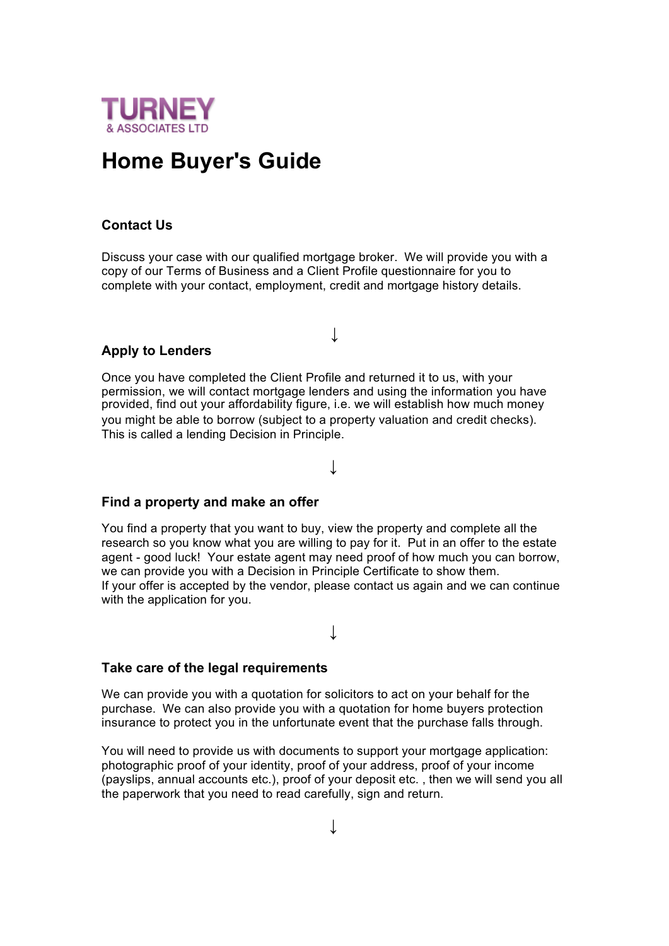

# **Home Buyer's Guide**

# **Contact Us**

Discuss your case with our qualified mortgage broker. We will provide you with a copy of our Terms of Business and a Client Profile questionnaire for you to complete with your contact, employment, credit and mortgage history details.

**↓**

### **Apply to Lenders**

Once you have completed the Client Profile and returned it to us, with your permission, we will contact mortgage lenders and using the information you have provided, find out your affordability figure, i.e. we will establish how much money you might be able to borrow (subject to a property valuation and credit checks). This is called a lending Decision in Principle.

**↓**

### **Find a property and make an offer**

You find a property that you want to buy, view the property and complete all the research so you know what you are willing to pay for it. Put in an offer to the estate agent - good luck! Your estate agent may need proof of how much you can borrow, we can provide you with a Decision in Principle Certificate to show them. If your offer is accepted by the vendor, please contact us again and we can continue with the application for you.

**↓**

# **Take care of the legal requirements**

We can provide you with a quotation for solicitors to act on your behalf for the purchase. We can also provide you with a quotation for home buyers protection insurance to protect you in the unfortunate event that the purchase falls through.

You will need to provide us with documents to support your mortgage application: photographic proof of your identity, proof of your address, proof of your income (payslips, annual accounts etc.), proof of your deposit etc. , then we will send you all the paperwork that you need to read carefully, sign and return.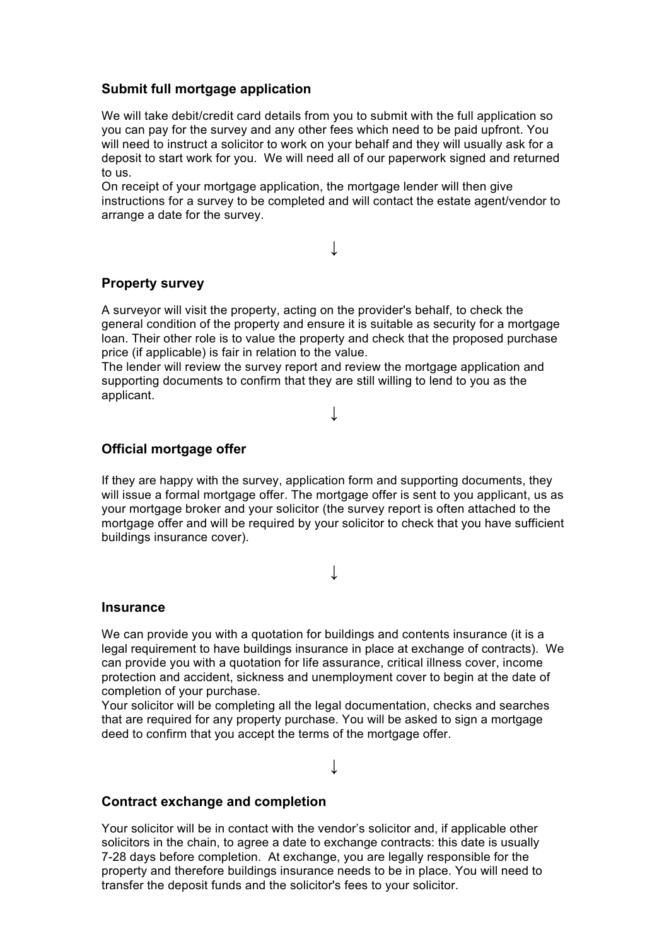## **Submit full mortgage application**

We will take debit/credit card details from you to submit with the full application so you can pay for the survey and any other fees which need to be paid upfront. You will need to instruct a solicitor to work on your behalf and they will usually ask for a deposit to start work for you. We will need all of our paperwork signed and returned to us.

On receipt of your mortgage application, the mortgage lender will then give instructions for a survey to be completed and will contact the estate agent/vendor to arrange a date for the survey.

**↓**

## **Property survey**

A surveyor will visit the property, acting on the provider's behalf, to check the general condition of the property and ensure it is suitable as security for a mortgage loan. Their other role is to value the property and check that the proposed purchase price (if applicable) is fair in relation to the value.

The lender will review the survey report and review the mortgage application and supporting documents to confirm that they are still willing to lend to you as the applicant.

## **↓**

### **Official mortgage offer**

If they are happy with the survey, application form and supporting documents, they will issue a formal mortgage offer. The mortgage offer is sent to you applicant, us as your mortgage broker and your solicitor (the survey report is often attached to the mortgage offer and will be required by your solicitor to check that you have sufficient buildings insurance cover).

## **↓**

#### **Insurance**

We can provide you with a quotation for buildings and contents insurance (it is a legal requirement to have buildings insurance in place at exchange of contracts). We can provide you with a quotation for life assurance, critical illness cover, income protection and accident, sickness and unemployment cover to begin at the date of completion of your purchase.

Your solicitor will be completing all the legal documentation, checks and searches that are required for any property purchase. You will be asked to sign a mortgage deed to confirm that you accept the terms of the mortgage offer.

**↓**

#### **Contract exchange and completion**

Your solicitor will be in contact with the vendor's solicitor and, if applicable other solicitors in the chain, to agree a date to exchange contracts: this date is usually 7-28 days before completion. At exchange, you are legally responsible for the property and therefore buildings insurance needs to be in place. You will need to transfer the deposit funds and the solicitor's fees to your solicitor.